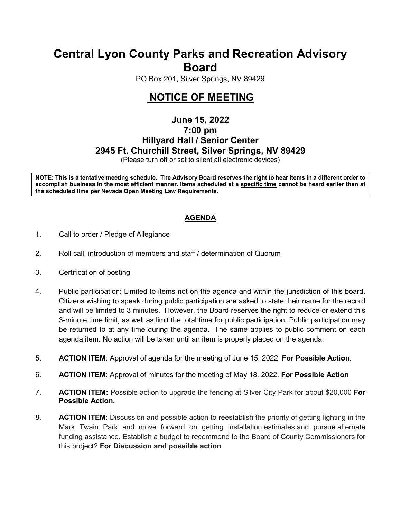# **Central Lyon County Parks and Recreation Advisory Board**

PO Box 201, Silver Springs, NV 89429

# **NOTICE OF MEETING**

## **June 15, 2022 7:00 pm Hillyard Hall / Senior Center 2945 Ft. Churchill Street, Silver Springs, NV 89429**

(Please turn off or set to silent all electronic devices)

**NOTE: This is a tentative meeting schedule. The Advisory Board reserves the right to hear items in a different order to accomplish business in the most efficient manner. Items scheduled at a specific time cannot be heard earlier than at the scheduled time per Nevada Open Meeting Law Requirements.** 

### **AGENDA**

- 1. Call to order / Pledge of Allegiance
- 2. Roll call, introduction of members and staff / determination of Quorum
- 3. Certification of posting
- 4. Public participation: Limited to items not on the agenda and within the jurisdiction of this board. Citizens wishing to speak during public participation are asked to state their name for the record and will be limited to 3 minutes. However, the Board reserves the right to reduce or extend this 3-minute time limit, as well as limit the total time for public participation. Public participation may be returned to at any time during the agenda. The same applies to public comment on each agenda item. No action will be taken until an item is properly placed on the agenda.
- 5. **ACTION ITEM**: Approval of agenda for the meeting of June 15, 2022. **For Possible Action**.
- 6. **ACTION ITEM**: Approval of minutes for the meeting of May 18, 2022. **For Possible Action**
- 7. **ACTION ITEM:** Possible action to upgrade the fencing at Silver City Park for about \$20,000 **For Possible Action.**
- 8. **ACTION ITEM**: Discussion and possible action to reestablish the priority of getting lighting in the Mark Twain Park and move forward on getting installation estimates and pursue alternate funding assistance. Establish a budget to recommend to the Board of County Commissioners for this project? **For Discussion and possible action**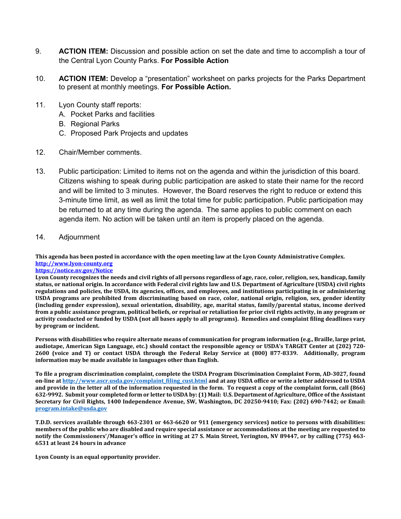- 9. **ACTION ITEM:** Discussion and possible action on set the date and time to accomplish a tour of the Central Lyon County Parks. **For Possible Action**
- 10. **ACTION ITEM:** Develop a "presentation" worksheet on parks projects for the Parks Department to present at monthly meetings. **For Possible Action.**
- 11. Lyon County staff reports:
	- A. Pocket Parks and facilities
	- B. Regional Parks
	- C. Proposed Park Projects and updates
- 12. Chair/Member comments.
- 13. Public participation: Limited to items not on the agenda and within the jurisdiction of this board. Citizens wishing to speak during public participation are asked to state their name for the record and will be limited to 3 minutes. However, the Board reserves the right to reduce or extend this 3-minute time limit, as well as limit the total time for public participation. Public participation may be returned to at any time during the agenda. The same applies to public comment on each agenda item. No action will be taken until an item is properly placed on the agenda.
- 14. Adjournment

**This agenda has been posted in accordance with the open meeting law at the Lyon County Administrative Complex. [http://www.lyon-county.org](about:blank)**

#### **[https://notice.nv.gov/Notice](about:blank)**

**Lyon County recognizes the needs and civil rights of all persons regardless of age, race, color, religion, sex, handicap, family status, or national origin. In accordance with Federal civil rights law and U.S. Department of Agriculture (USDA) civil rights regulations and policies, the USDA, its agencies, offices, and employees, and institutions participating in or administering USDA programs are prohibited from discriminating based on race, color, national origin, religion, sex, gender identity (including gender expression), sexual orientation, disability, age, marital status, family/parental status, income derived from a public assistance program, political beliefs, or reprisal or retaliation for prior civil rights activity, in any program or activity conducted or funded by USDA (not all bases apply to all programs). Remedies and complaint filing deadlines vary by program or incident.**

**Persons with disabilities who require alternate means of communication for program information (e.g., Braille, large print, audiotape, American Sign Language, etc.) should contact the responsible agency or USDA's TARGET Center at (202) 720- 2600 (voice and T) or contact USDA through the Federal Relay Service at (800) 877-8339. Additionally, program information may be made available in languages other than English.**

**To file a program discrimination complaint, complete the USDA Program Discrimination Complaint Form, AD-3027, found on-line a[t http://www.ascr.usda.gov/complaint\\_filing\\_cust.html](about:blank) and at any USDA office or write a letter addressed to USDA and provide in the letter all of the information requested in the form. To request a copy of the complaint form, call (866) 632-9992. Submit your completed form or letter to USDA by: (1) Mail: U.S. Department of Agriculture, Office of the Assistant Secretary for Civil Rights, 1400 Independence Avenue, SW, Washington, DC 20250-9410; Fax: (202) 690-7442; or Email: [program.intake@usda.gov](about:blank)**

**T.D.D. services available through 463-2301 or 463-6620 or 911 (emergency services) notice to persons with disabilities: members of the public who are disabled and require special assistance or accommodations at the meeting are requested to notify the Commissioners'/Manager's office in writing at 27 S. Main Street, Yerington, NV 89447, or by calling (775) 463- 6531 at least 24 hours in advance**

**Lyon County is an equal opportunity provider.**